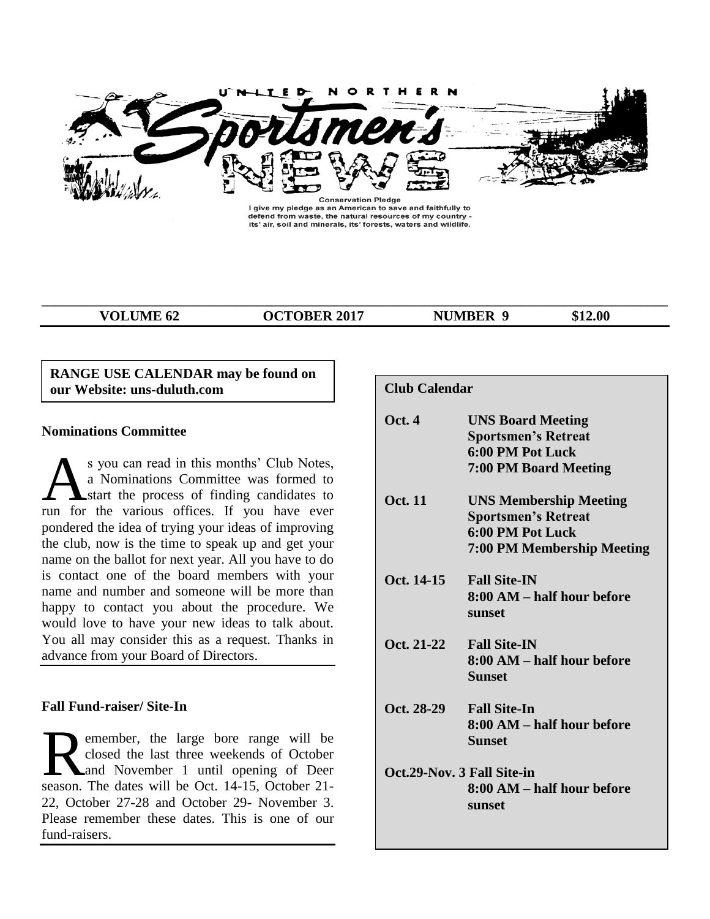

I give my pledge as an American to save and faithfully to defend from waste, the natural resources of my country -<br>its' air, soil and minerals, its' forests, waters and wildlife.

**\_\_\_\_\_\_\_\_\_\_\_\_\_\_\_\_\_\_\_\_\_\_\_\_\_\_\_\_\_\_\_\_\_\_\_\_\_\_\_\_\_\_\_\_\_\_\_\_\_\_\_\_\_\_\_\_\_\_\_\_\_\_\_\_\_\_\_\_\_\_\_\_\_\_\_\_\_\_\_\_\_\_\_\_\_\_\_\_\_\_**

**VOLUME 62 OCTOBER 2017 NUMBER 9 \$12.00**

# **RANGE USE CALENDAR may be found on** our Website: uns-duluth.com

### **Nominations Committee**

s you can read in this months' Club Notes, a Nominations Committee was formed to **A** start the process of finding candidates to S you can read in this months' Club Notes,<br>a Nominations Committee was formed to<br>run for the various offices. If you have ever pondered the idea of trying your ideas of improving the club, now is the time to speak up and get your name on the ballot for next year. All you have to do is contact one of the board members with your name and number and someone will be more than happy to contact you about the procedure. We would love to have your new ideas to talk about. You all may consider this as a request. Thanks in advance from your Board of Directors.

# **Fall Fund-raiser/ Site-In**

emember, the large bore range will be closed the last three weekends of October and November 1 until opening of Deer season. The dates will be Oct. 14-15, October 21-22, October 27-28 and October 29- November 3. Please remember these dates. This is one of our fund-raisers.

| <b>Club Calendar</b>       |                                                                                                                      |
|----------------------------|----------------------------------------------------------------------------------------------------------------------|
| <b>Oct. 4</b>              | <b>UNS Board Meeting</b><br><b>Sportsmen's Retreat</b><br>6:00 PM Pot Luck<br><b>7:00 PM Board Meeting</b>           |
| <b>Oct.</b> 11             | <b>UNS Membership Meeting</b><br><b>Sportsmen's Retreat</b><br>6:00 PM Pot Luck<br><b>7:00 PM Membership Meeting</b> |
| Oct. 14-15                 | <b>Fall Site-IN</b><br>8:00 AM – half hour before<br>sunset                                                          |
| Oct. 21-22                 | <b>Fall Site-IN</b><br>8:00 AM – half hour before<br><b>Sunset</b>                                                   |
| Oct. 28-29                 | <b>Fall Site-In</b><br>8:00 AM – half hour before<br>Sunset                                                          |
| Oct.29-Nov. 3 Fall Site-in | 8:00 AM – half hour before<br>sunset                                                                                 |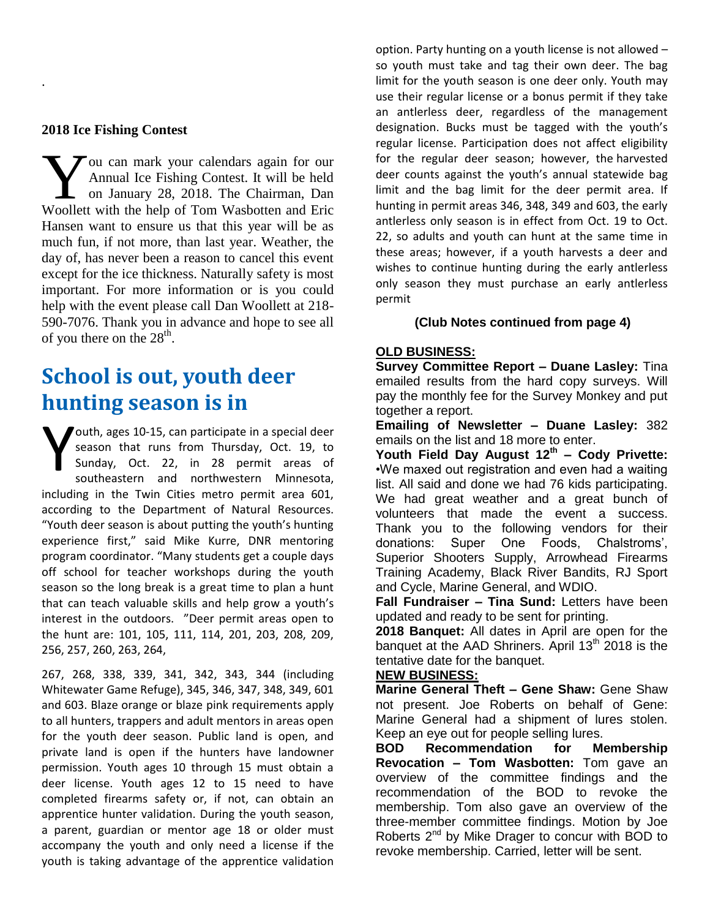# **2018 Ice Fishing Contest**

.

ou can mark your calendars again for our Annual Ice Fishing Contest. It will be held on January 28, 2018. The Chairman, Dan Vou can mark your calendars again for our Annual Ice Fishing Contest. It will be held on January 28, 2018. The Chairman, Dan Woollett with the help of Tom Wasbotten and Eric Hansen want to ensure us that this year will be as much fun, if not more, than last year. Weather, the day of, has never been a reason to cancel this event except for the ice thickness. Naturally safety is most important. For more information or is you could help with the event please call Dan Woollett at 218- 590-7076. Thank you in advance and hope to see all of you there on the  $28<sup>th</sup>$ .

# **School is out, youth deer hunting season is in**

outh, ages 10-15, can participate in a special deer season that runs from Thursday, Oct. 19, to Sunday, Oct. 22, in 28 permit areas of southeastern and northwestern Minnesota, including in the Twin Cities metro permit area 601, according to the Department of Natural Resources. "Youth deer season is about putting the youth's hunting experience first," said Mike Kurre, DNR mentoring program coordinator. "Many students get a couple days off school for teacher workshops during the youth season so the long break is a great time to plan a hunt that can teach valuable skills and help grow a youth's interest in the outdoors. "Deer permit areas open to the hunt are: 101, 105, 111, 114, 201, 203, 208, 209, 256, 257, 260, 263, 264, Y

267, 268, 338, 339, 341, 342, 343, 344 (including Whitewater Game Refuge), 345, 346, 347, 348, 349, 601 and 603. Blaze orange or blaze pink requirements apply to all hunters, trappers and adult mentors in areas open for the youth deer season. Public land is open, and private land is open if the hunters have landowner permission. Youth ages 10 through 15 must obtain a deer license. Youth ages 12 to 15 need to have completed firearms safety or, if not, can obtain an apprentice hunter validation. During the youth season, a parent, guardian or mentor age 18 or older must accompany the youth and only need a license if the youth is taking advantage of the apprentice validation

option. Party hunting on a youth license is not allowed – so youth must take and tag their own deer. The bag limit for the youth season is one deer only. Youth may use their regular license or a bonus permit if they take an antlerless deer, regardless of the management designation. Bucks must be tagged with the youth's regular license. Participation does not affect eligibility for the regular deer season; however, the harvested deer counts against the youth's annual statewide bag limit and the bag limit for the deer permit area. If hunting in permit areas 346, 348, 349 and 603, the early antlerless only season is in effect from Oct. 19 to Oct. 22, so adults and youth can hunt at the same time in these areas; however, if a youth harvests a deer and wishes to continue hunting during the early antlerless only season they must purchase an early antlerless permit

# **(Club Notes continued from page 4)**

# **OLD BUSINESS:**

**Survey Committee Report – Duane Lasley:** Tina emailed results from the hard copy surveys. Will pay the monthly fee for the Survey Monkey and put together a report.

**Emailing of Newsletter – Duane Lasley:** 382 emails on the list and 18 more to enter.

**Youth Field Day August 12th – Cody Privette:**  •We maxed out registration and even had a waiting list. All said and done we had 76 kids participating. We had great weather and a great bunch of volunteers that made the event a success. Thank you to the following vendors for their donations: Super One Foods, Chalstroms', Superior Shooters Supply, Arrowhead Firearms Training Academy, Black River Bandits, RJ Sport and Cycle, Marine General, and WDIO.

**Fall Fundraiser – Tina Sund:** Letters have been updated and ready to be sent for printing.

**2018 Banquet:** All dates in April are open for the banquet at the AAD Shriners. April  $13<sup>th</sup>$  2018 is the tentative date for the banquet.

# **NEW BUSINESS:**

**Marine General Theft – Gene Shaw:** Gene Shaw not present. Joe Roberts on behalf of Gene: Marine General had a shipment of lures stolen. Keep an eye out for people selling lures.

**BOD Recommendation for Membership Revocation – Tom Wasbotten:** Tom gave an overview of the committee findings and the recommendation of the BOD to revoke the membership. Tom also gave an overview of the three-member committee findings. Motion by Joe Roberts  $2^{nd}$  by Mike Drager to concur with BOD to revoke membership. Carried, letter will be sent.